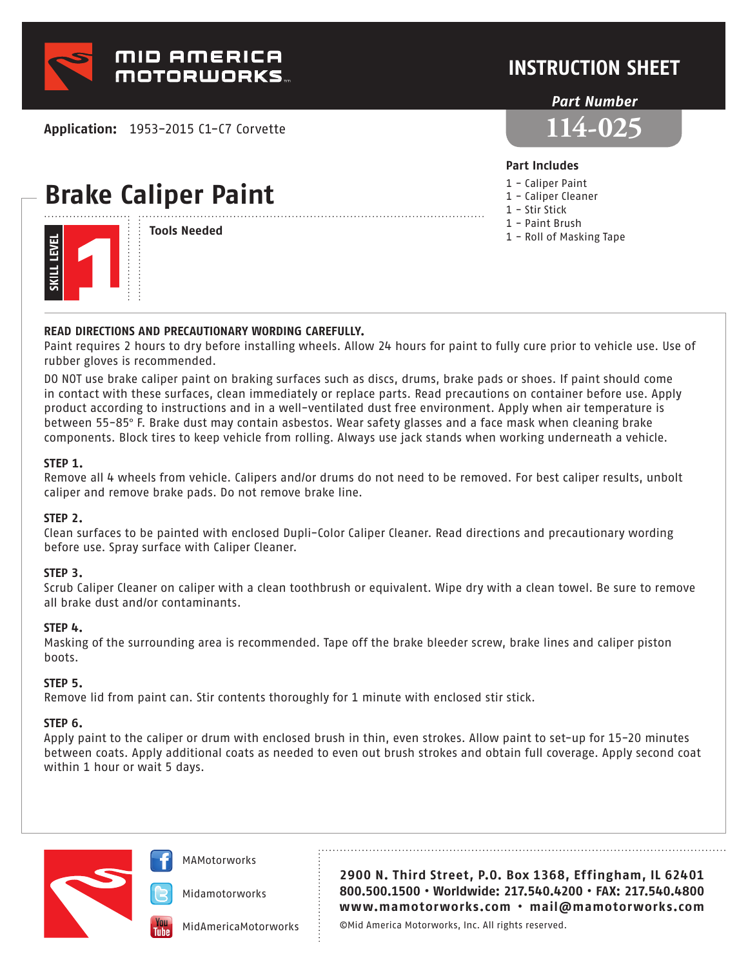

**Application:** 1953-2015 C1-C7 Corvette

# **Brake Caliper Paint**



**Tools Needed**

### **INSTRUCTION SHEET**

#### *Part Number*



#### **Part Includes**

- 1 Caliper Paint
- 1 Caliper Cleaner
- 1 Stir Stick
- 1 Paint Brush
- 1 Roll of Masking Tape

#### **READ DIRECTIONS AND PRECAUTIONARY WORDING CAREFULLY.**

Paint requires 2 hours to dry before installing wheels. Allow 24 hours for paint to fully cure prior to vehicle use. Use of rubber gloves is recommended.

DO NOT use brake caliper paint on braking surfaces such as discs, drums, brake pads or shoes. If paint should come in contact with these surfaces, clean immediately or replace parts. Read precautions on container before use. Apply product according to instructions and in a well-ventilated dust free environment. Apply when air temperature is between 55-85° F. Brake dust may contain asbestos. Wear safety glasses and a face mask when cleaning brake components. Block tires to keep vehicle from rolling. Always use jack stands when working underneath a vehicle.

#### **STEP 1.**

Remove all 4 wheels from vehicle. Calipers and/or drums do not need to be removed. For best caliper results, unbolt caliper and remove brake pads. Do not remove brake line.

#### **STEP 2.**

Clean surfaces to be painted with enclosed Dupli-Color Caliper Cleaner. Read directions and precautionary wording before use. Spray surface with Caliper Cleaner.

#### **STEP 3.**

Scrub Caliper Cleaner on caliper with a clean toothbrush or equivalent. Wipe dry with a clean towel. Be sure to remove all brake dust and/or contaminants.

#### **STEP 4.**

Masking of the surrounding area is recommended. Tape off the brake bleeder screw, brake lines and caliper piston boots.

#### **STEP 5.**

Remove lid from paint can. Stir contents thoroughly for 1 minute with enclosed stir stick.

#### **STEP 6.**

Apply paint to the caliper or drum with enclosed brush in thin, even strokes. Allow paint to set-up for 15-20 minutes between coats. Apply additional coats as needed to even out brush strokes and obtain full coverage. Apply second coat within 1 hour or wait 5 days.



MAMotorworks

Midamotorworks

MidAmericaMotorworks

**2900 N. Third Street, P.O. Box 1368, Effingham, IL 62401 800.500.1500 • Worldwide: 217.540.4200 • FAX: 217.540.4800 www.mamotorworks.com • mail@mamotorworks.com**

©Mid America Motorworks, Inc. All rights reserved.